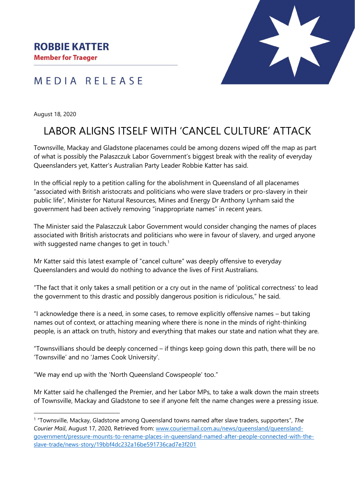## MEDIA RELEASE

August 18, 2020

# LABOR ALIGNS ITSELF WITH 'CANCEL CULTURE' ATTACK

Townsville, Mackay and Gladstone placenames could be among dozens wiped off the map as part of what is possibly the Palaszczuk Labor Government's biggest break with the reality of everyday Queenslanders yet, Katter's Australian Party Leader Robbie Katter has said.

In the official reply to a petition calling for the abolishment in Queensland of all placenames "associated with British aristocrats and politicians who were slave traders or pro-slavery in their public life", Minister for Natural Resources, Mines and Energy Dr Anthony Lynham said the government had been actively removing "inappropriate names" in recent years.

The Minister said the Palaszczuk Labor Government would consider changing the names of places associated with British aristocrats and politicians who were in favour of slavery, and urged anyone with suggested name changes to get in touch.<sup>1</sup>

Mr Katter said this latest example of "cancel culture" was deeply offensive to everyday Queenslanders and would do nothing to advance the lives of First Australians.

"The fact that it only takes a small petition or a cry out in the name of 'political correctness' to lead the government to this drastic and possibly dangerous position is ridiculous," he said.

"I acknowledge there is a need, in some cases, to remove explicitly offensive names – but taking names out of context, or attaching meaning where there is none in the minds of right-thinking people, is an attack on truth, history and everything that makes our state and nation what they are.

"Townsvillians should be deeply concerned – if things keep going down this path, there will be no 'Townsville' and no 'James Cook University'.

"We may end up with the 'North Queensland Cowspeople' too."

Mr Katter said he challenged the Premier, and her Labor MPs, to take a walk down the main streets of Townsville, Mackay and Gladstone to see if anyone felt the name changes were a pressing issue.

<sup>1</sup> "Townsville, Mackay, Gladstone among Queensland towns named after slave traders, supporters", *The Courier Mail*, August 17, 2020, Retrieved from: [www.couriermail.com.au/news/queensland/queensland](http://www.couriermail.com.au/news/queensland/queensland-government/pressure-mounts-to-rename-places-in-queensland-named-after-people-connected-with-the-slave-trade/news-story/19bbf4dc232a16be591736cad7e3f201)[government/pressure-mounts-to-rename-places-in-queensland-named-after-people-connected-with-the](http://www.couriermail.com.au/news/queensland/queensland-government/pressure-mounts-to-rename-places-in-queensland-named-after-people-connected-with-the-slave-trade/news-story/19bbf4dc232a16be591736cad7e3f201)[slave-trade/news-story/19bbf4dc232a16be591736cad7e3f201](http://www.couriermail.com.au/news/queensland/queensland-government/pressure-mounts-to-rename-places-in-queensland-named-after-people-connected-with-the-slave-trade/news-story/19bbf4dc232a16be591736cad7e3f201)